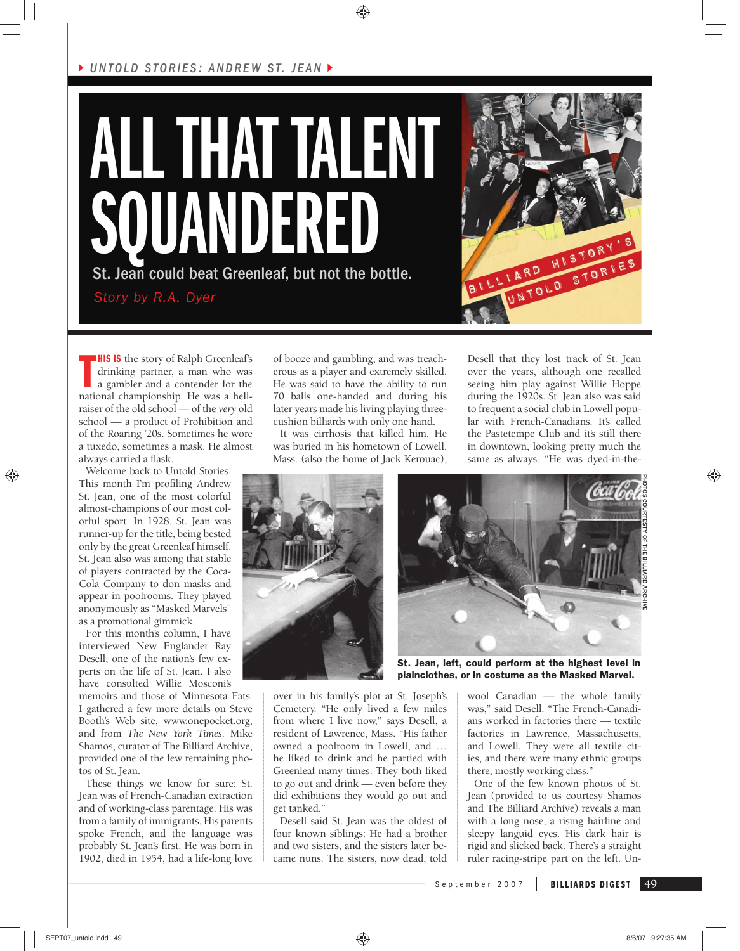## *UNTOLD STORIES: ANDREW ST. JEAN*





**THIS IS** the story of Ralph Greenleaf's drinking partner, a man who was a gambler and a contender for the national championship. He was a hell-**HIS IS** the story of Ralph Greenleaf's drinking partner, a man who was a gambler and a contender for the raiser of the old school — of the *very* old school — a product of Prohibition and of the Roaring '20s. Sometimes he wore a tuxedo, sometimes a mask. He almost always carried a flask.

Welcome back to Untold Stories. This month I'm profiling Andrew St. Jean, one of the most colorful almost-champions of our most colorful sport. In 1928, St. Jean was runner-up for the title, being bested only by the great Greenleaf himself. St. Jean also was among that stable of players contracted by the Coca-Cola Company to don masks and appear in poolrooms. They played anonymously as "Masked Marvels" as a promotional gimmick.

⊕

For this month's column, I have interviewed New Englander Ray Desell, one of the nation's few experts on the life of St. Jean. I also have consulted Willie Mosconi's

memoirs and those of Minnesota Fats. I gathered a few more details on Steve Booth's Web site, www.onepocket.org, and from *The New York Times*. Mike Shamos, curator of The Billiard Archive, provided one of the few remaining photos of St. Jean.

These things we know for sure: St. Jean was of French-Canadian extraction and of working-class parentage. His was from a family of immigrants. His parents spoke French, and the language was probably St. Jean's first. He was born in 1902, died in 1954, had a life-long love

of booze and gambling, and was treacherous as a player and extremely skilled. He was said to have the ability to run 70 balls one-handed and during his later years made his living playing threecushion billiards with only one hand.

⊕

It was cirrhosis that killed him. He was buried in his hometown of Lowell, Mass. (also the home of Jack Kerouac), Desell that they lost track of St. Jean over the years, although one recalled seeing him play against Willie Hoppe during the 1920s. St. Jean also was said to frequent a social club in Lowell popular with French-Canadians. It's called the Pastetempe Club and it's still there in downtown, looking pretty much the same as always. "He was dyed-in-the-





St. Jean, left, could perform at the highest level in plainclothes, or in costume as the Masked Marvel.

over in his family's plot at St. Joseph's Cemetery. "He only lived a few miles from where I live now," says Desell, a resident of Lawrence, Mass. "His father owned a poolroom in Lowell, and … he liked to drink and he partied with Greenleaf many times. They both liked to go out and drink — even before they did exhibitions they would go out and get tanked."

Desell said St. Jean was the oldest of four known siblings: He had a brother and two sisters, and the sisters later became nuns. The sisters, now dead, told

wool Canadian — the whole family was," said Desell. "The French-Canadians worked in factories there — textile factories in Lawrence, Massachusetts, and Lowell. They were all textile cities, and there were many ethnic groups there, mostly working class."

One of the few known photos of St. Jean (provided to us courtesy Shamos and The Billiard Archive) reveals a man with a long nose, a rising hairline and sleepy languid eyes. His dark hair is rigid and slicked back. There's a straight ruler racing-stripe part on the left. Un-

**BILLIARDS DIGEST 49** September 2007

SEPT07\_untold.indd 49 8/6/07 9:27:35 AM | 8/6/07 9:27:35 AM | 8/6/07 9:27:35 AM | 8/6/07 9:27:35 AM | 8/6/07 9:27:35 AM | 8/6/07 9:27:35 AM | 8/6/07 9:27:35 AM | 8/6/07 9:27:35 AM | 8/6/07 9:27:35 AM | 8/6/07 9:27:35 AM |

♠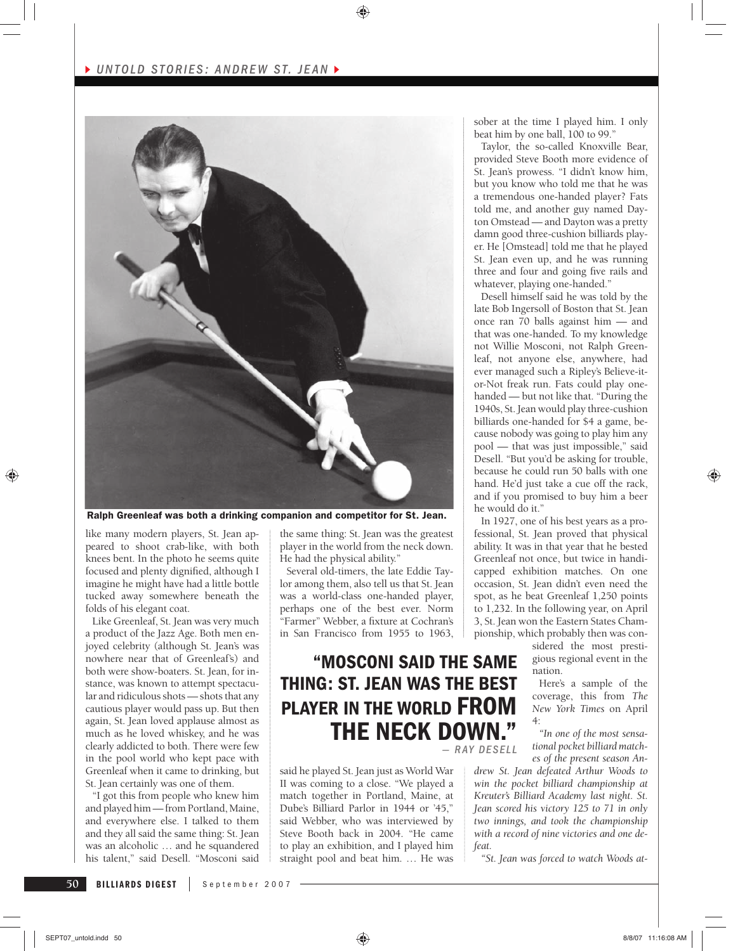

Ralph Greenleaf was both a drinking companion and competitor for St. Jean.

like many modern players, St. Jean appeared to shoot crab-like, with both knees bent. In the photo he seems quite focused and plenty dignified, although I imagine he might have had a little bottle tucked away somewhere beneath the folds of his elegant coat.

Like Greenleaf, St. Jean was very much a product of the Jazz Age. Both men enjoyed celebrity (although St. Jean's was nowhere near that of Greenleaf's) and both were show-boaters. St. Jean, for instance, was known to attempt spectacular and ridiculous shots — shots that any cautious player would pass up. But then again, St. Jean loved applause almost as much as he loved whiskey, and he was clearly addicted to both. There were few in the pool world who kept pace with Greenleaf when it came to drinking, but St. Jean certainly was one of them.

"I got this from people who knew him and played him — from Portland, Maine, and everywhere else. I talked to them and they all said the same thing: St. Jean was an alcoholic … and he squandered his talent," said Desell. "Mosconi said the same thing: St. Jean was the greatest player in the world from the neck down. He had the physical ability."

⊕

Several old-timers, the late Eddie Taylor among them, also tell us that St. Jean was a world-class one-handed player, perhaps one of the best ever. Norm "Farmer" Webber, a fixture at Cochran's in San Francisco from 1955 to 1963,

## **"MOSCONI SAID THE SAME THING: ST. JEAN WAS THE BEST PLAYER IN THE WORLD FROM THE NECK DOWN."**  *— R AY DESELL*

said he played St. Jean just as World War II was coming to a close. "We played a match together in Portland, Maine, at Dube's Billiard Parlor in 1944 or '45," said Webber, who was interviewed by Steve Booth back in 2004. "He came to play an exhibition, and I played him straight pool and beat him. … He was sober at the time I played him. I only beat him by one ball, 100 to 99."

Taylor, the so-called Knoxville Bear, provided Steve Booth more evidence of St. Jean's prowess. "I didn't know him, but you know who told me that he was a tremendous one-handed player? Fats told me, and another guy named Dayton Omstead — and Dayton was a pretty damn good three-cushion billiards player. He [Omstead] told me that he played St. Jean even up, and he was running three and four and going five rails and whatever, playing one-handed."

Desell himself said he was told by the late Bob Ingersoll of Boston that St. Jean once ran 70 balls against him — and that was one-handed. To my knowledge not Willie Mosconi, not Ralph Greenleaf, not anyone else, anywhere, had ever managed such a Ripley's Believe-itor-Not freak run. Fats could play onehanded — but not like that. "During the 1940s, St. Jean would play three-cushion billiards one-handed for \$4 a game, because nobody was going to play him any pool — that was just impossible," said Desell. "But you'd be asking for trouble, because he could run 50 balls with one hand. He'd just take a cue off the rack, and if you promised to buy him a beer he would do it."

In 1927, one of his best years as a professional, St. Jean proved that physical ability. It was in that year that he bested Greenleaf not once, but twice in handicapped exhibition matches. On one occasion, St. Jean didn't even need the spot, as he beat Greenleaf 1,250 points to 1,232. In the following year, on April 3, St. Jean won the Eastern States Championship, which probably then was con-

sidered the most prestigious regional event in the nation.

Here's a sample of the coverage, this from *The New York Times* on April 4:

*"In one of the most sensational pocket billiard matches of the present season An-*

*drew St. Jean defeated Arthur Woods to win the pocket billiard championship at Kreuter's Billiard Academy last night. St. Jean scored his victory 125 to 71 in only two innings, and took the championship with a record of nine victories and one defeat.*

*"St. Jean was forced to watch Woods at-*

**50**

♠

SEPT07\_untold.indd 50 8/8/07 11:16:08 AM **11:16:08 AM** 11:16:08 AM **11:16:08 AM** 8/8/07 11:16:08 AM

♠